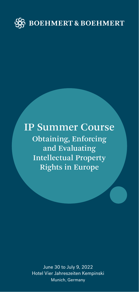

# IP Summer Course Obtaining, Enforcing and Evaluating Intellectual Property Rights in Europe

June 30 to July 9, 2022 Hotel Vier Jahreszeiten Kempinski Munich, Germany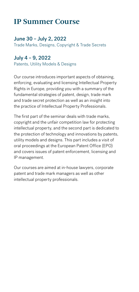## **IP Summer Course**

### June 30 – July 2, 2022

Trade Marks, Designs, Copyright & Trade Secrets

### July 4 – 9, 2022

Patents, Utility Models & Designs

Our course introduces important aspects of obtaining, enforcing, evaluating and licensing Intellectual Property Rights in Europe, providing you with a summary of the fundamental strategies of patent, design, trade mark and trade secret protection as well as an insight into the practice of Intellectual Property Professionals.

The first part of the seminar deals with trade marks, copyright and the unfair competition law for protecting intellectual property, and the second part is dedicated to the protection of technology and innovations by patents, utility models and designs. This part includes a visit of oral proceedings at the European Patent Office (EPO) and covers issues of patent enforcement, licensing and IP management.

Our courses are aimed at in-house lawyers, corporate patent and trade mark managers as well as other intellectual property professionals.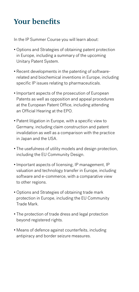## **Your benefits**

In the IP Summer Course you will learn about:

- Options and Strategies of obtaining patent protection in Europe, including a summary of the upcoming Unitary Patent System.
- Recent developments in the patenting of softwarerelated and biochemical inventions in Europe, including specific IP issues relating to pharmaceuticals.
- Important aspects of the prosecution of European Patents as well as opposition and appeal procedures at the European Patent Office, including attending an Official Hearing at the EPO.
- Patent litigation in Europe, with a specific view to Germany, including claim construction and patent invalidation as well as a comparison with the practice in Japan and the USA.
- The usefulness of utility models and design protection, including the EU Community Design.
- Important aspects of licensing, IP management, IP valuation and technology transfer in Europe, including software and e-commerce, with a comparative view to other regions.
- Options and Strategies of obtaining trade mark protection in Europe, including the EU Community Trade Mark.
- The protection of trade dress and legal protection beyond registered rights.
- Means of defence against counterfeits, including antipiracy and border seizure measures.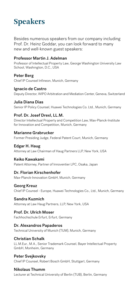## **Speakers**

Besides numerous speakers from our company including Prof. Dr. Heinz Goddar, you can look forward to many new and well-known guest speakers:

#### Professor Martin J. Adelman

Professor of Intellectual Property Law, George Washington University Law School, Washington, D.C., USA

#### Peter Berg

Chief IP Counsel Infineon, Munich, Germany

#### Ignacio de Castro

Deputy Director, WIPO Arbitration and Mediation Center, Geneva, Switzerland

#### Julia Diana Dias

Senior IP Policy Counsel, Huawei Technologies Co. Ltd., Munich, Germany

#### Prof. Dr. Josef Drexl, LL.M.

Director Intellectual Property and Competition Law, Max-Planck-Institute for Innovation and Competition, Munich, Germany

#### Marianne Grabrucker

Former Presiding Judge, Federal Patent Court, Munich, Germany

#### Edgar H. Haug

Attorney at Law Chairman of Haug Partners LLP, New York, USA

#### Keiko Kawakami

Patent Attorney, Partner of Innoventier LPC, Osaka, Japan

#### Dr. Florian Kirschenhofer

Max-Planck-Innovation GmbH, Munich, Germany

#### Georg Kreuz

Chief IP Counsel - Europe, Huawei Technologies Co., Ltd., Munich, Germany

#### Sandra Kuzmich

Attorney at Law Haug Partners, LLP, New York, USA

#### Prof. Dr. Ulrich Moser

Fachhochschule Erfurt, Erfurt, Germany

#### Dr. Alexandros Papaderos

Technical University of Munich (TUM), Munich, Germany

#### Christian Schalk

LL.M.Eur., M.A., Senior Trademark Counsel, Bayer Intellectual Property GmbH, Monheim, Germany

### Peter Svejkovsky

Chief IP Counsel, Robert Bosch GmbH, Stuttgart, Germany

#### Nikolaus Thumm

Lecturer at Technical University of Berlin (TUB), Berlin, Germany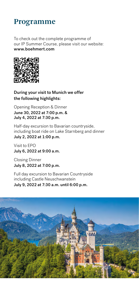### **Programme**

To check out the complete programme of our IP Summer Course, please visit our website: www.boehmert.com



During your visit to Munich we offer the following highlights:

Opening Reception & Dinner June 30, 2022 at 7:00 p.m. & July 4, 2022 at 7:30 p.m.

Half-day excursion to Bavarian countryside, including boat ride on Lake Starnberg and dinner July 2, 2022 at 1:00 p.m.

Visit to EPO July 6, 2022 at 9:00 a.m.

Closing Dinner July 8, 2022 at 7:00 p.m.

Full day excursion to Bavarian Countryside including Castle Neuschwanstein July 9, 2022 at 7:30 a.m. until 6:00 p.m.